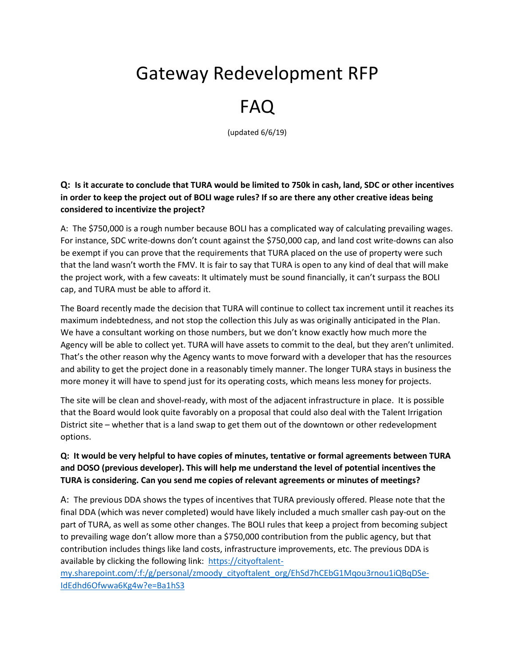# Gateway Redevelopment RFP

# FAQ

(updated 6/6/19)

**Q: Is it accurate to conclude that TURA would be limited to 750k in cash, land, SDC or other incentives in order to keep the project out of BOLI wage rules? If so are there any other creative ideas being considered to incentivize the project?**

A:The \$750,000 is a rough number because BOLI has a complicated way of calculating prevailing wages. For instance, SDC write-downs don't count against the \$750,000 cap, and land cost write-downs can also be exempt if you can prove that the requirements that TURA placed on the use of property were such that the land wasn't worth the FMV. It is fair to say that TURA is open to any kind of deal that will make the project work, with a few caveats: It ultimately must be sound financially, it can't surpass the BOLI cap, and TURA must be able to afford it.

The Board recently made the decision that TURA will continue to collect tax increment until it reaches its maximum indebtedness, and not stop the collection this July as was originally anticipated in the Plan. We have a consultant working on those numbers, but we don't know exactly how much more the Agency will be able to collect yet. TURA will have assets to commit to the deal, but they aren't unlimited. That's the other reason why the Agency wants to move forward with a developer that has the resources and ability to get the project done in a reasonably timely manner. The longer TURA stays in business the more money it will have to spend just for its operating costs, which means less money for projects.

The site will be clean and shovel-ready, with most of the adjacent infrastructure in place. It is possible that the Board would look quite favorably on a proposal that could also deal with the Talent Irrigation District site – whether that is a land swap to get them out of the downtown or other redevelopment options.

## **Q: It would be very helpful to have copies of minutes, tentative or formal agreements between TURA and DOSO (previous developer). This will help me understand the level of potential incentives the TURA is considering. Can you send me copies of relevant agreements or minutes of meetings?**

A: The previous DDA shows the types of incentives that TURA previously offered. Please note that the final DDA (which was never completed) would have likely included a much smaller cash pay-out on the part of TURA, as well as some other changes. The BOLI rules that keep a project from becoming subject to prevailing wage don't allow more than a \$750,000 contribution from the public agency, but that contribution includes things like land costs, infrastructure improvements, etc. The previous DDA is available by clicking the following link: [https://cityoftalent-](https://cityoftalent-my.sharepoint.com/:f:/g/personal/zmoody_cityoftalent_org/EhSd7hCEbG1Mqou3rnou1iQBqDSe-IdEdhd6Ofwwa6Kg4w?e=Ba1hS3)

[my.sharepoint.com/:f:/g/personal/zmoody\\_cityoftalent\\_org/EhSd7hCEbG1Mqou3rnou1iQBqDSe-](https://cityoftalent-my.sharepoint.com/:f:/g/personal/zmoody_cityoftalent_org/EhSd7hCEbG1Mqou3rnou1iQBqDSe-IdEdhd6Ofwwa6Kg4w?e=Ba1hS3)[IdEdhd6Ofwwa6Kg4w?e=Ba1hS3](https://cityoftalent-my.sharepoint.com/:f:/g/personal/zmoody_cityoftalent_org/EhSd7hCEbG1Mqou3rnou1iQBqDSe-IdEdhd6Ofwwa6Kg4w?e=Ba1hS3)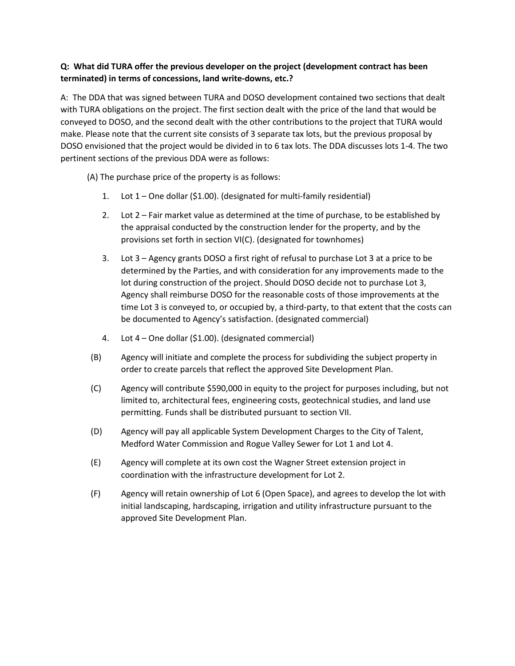### **Q: What did TURA offer the previous developer on the project (development contract has been terminated) in terms of concessions, land write-downs, etc.?**

A: The DDA that was signed between TURA and DOSO development contained two sections that dealt with TURA obligations on the project. The first section dealt with the price of the land that would be conveyed to DOSO, and the second dealt with the other contributions to the project that TURA would make. Please note that the current site consists of 3 separate tax lots, but the previous proposal by DOSO envisioned that the project would be divided in to 6 tax lots. The DDA discusses lots 1-4. The two pertinent sections of the previous DDA were as follows:

(A) The purchase price of the property is as follows:

- 1. Lot 1 One dollar (\$1.00). (designated for multi-family residential)
- 2. Lot 2 Fair market value as determined at the time of purchase, to be established by the appraisal conducted by the construction lender for the property, and by the provisions set forth in section VI(C). (designated for townhomes)
- 3. Lot 3 Agency grants DOSO a first right of refusal to purchase Lot 3 at a price to be determined by the Parties, and with consideration for any improvements made to the lot during construction of the project. Should DOSO decide not to purchase Lot 3, Agency shall reimburse DOSO for the reasonable costs of those improvements at the time Lot 3 is conveyed to, or occupied by, a third-party, to that extent that the costs can be documented to Agency's satisfaction. (designated commercial)
- 4. Lot 4 One dollar (\$1.00). (designated commercial)
- (B) Agency will initiate and complete the process for subdividing the subject property in order to create parcels that reflect the approved Site Development Plan.
- (C) Agency will contribute \$590,000 in equity to the project for purposes including, but not limited to, architectural fees, engineering costs, geotechnical studies, and land use permitting. Funds shall be distributed pursuant to section VII.
- (D) Agency will pay all applicable System Development Charges to the City of Talent, Medford Water Commission and Rogue Valley Sewer for Lot 1 and Lot 4.
- (E) Agency will complete at its own cost the Wagner Street extension project in coordination with the infrastructure development for Lot 2.
- (F) Agency will retain ownership of Lot 6 (Open Space), and agrees to develop the lot with initial landscaping, hardscaping, irrigation and utility infrastructure pursuant to the approved Site Development Plan.